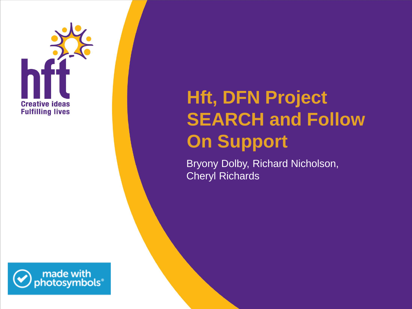

# **Hft, DFN Project SEARCH and Follow On Support**

Bryony Dolby, Richard Nicholson, Cheryl Richards

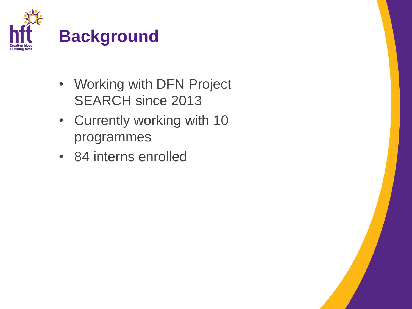

- Working with DFN Project SEARCH since 2013
- Currently working with 10 programmes
- 84 interns enrolled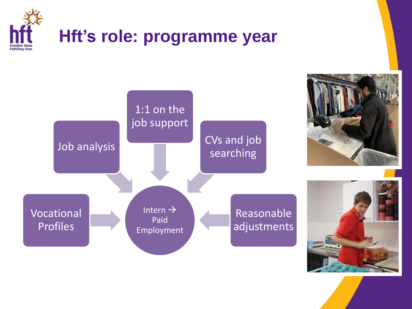

### **Hft's role: programme year**



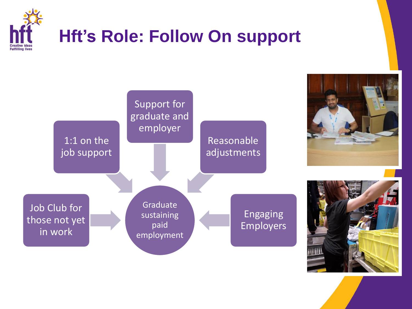

### **Hft's Role: Follow On support**

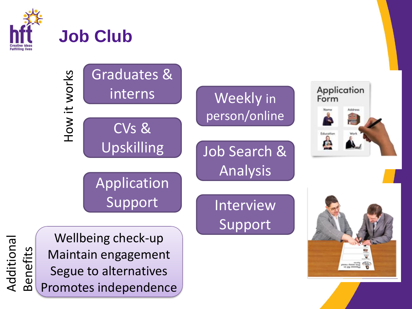

Additional

Benefits

# **Job Club**

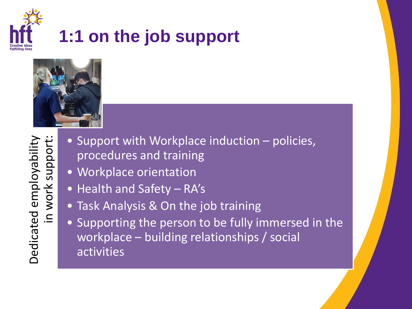

### **1:1 on the job support**



- Support with Workplace induction policies, procedures and training
- Workplace orientation
- Health and Safety RA's
- Task Analysis & On the job training
- Supporting the person to be fully immersed in the workplace – building relationships / social activities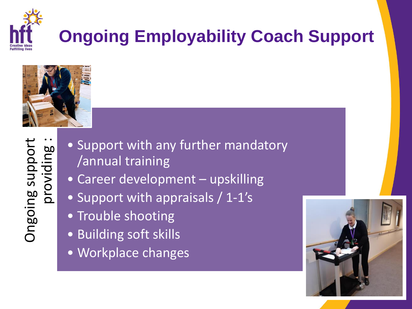

# **Ongoing Employability Coach Support**



- Support with any further mandatory /annual training
- Career development upskilling
- Support with appraisals / 1-1's
- Trouble shooting
- Building soft skills
- Workplace changes

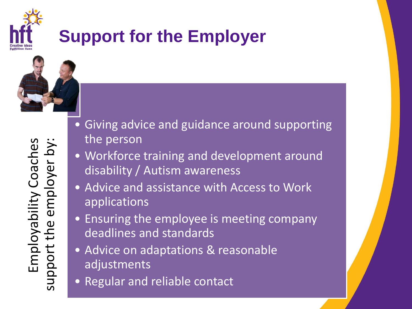

### **Support for the Employer**



- Giving advice and guidance around supporting the person
- Workforce training and development around disability / Autism awareness
- Advice and assistance with Access to Work applications
- Ensuring the employee is meeting company deadlines and standards
- Advice on adaptations & reasonable adjustments
- Regular and reliable contact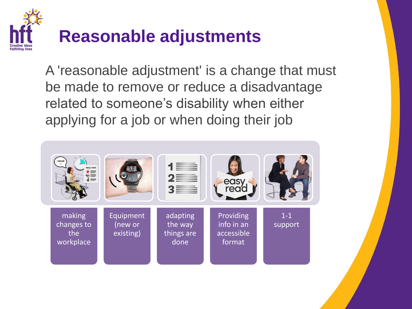

A 'reasonable adjustment' is a change that must be made to remove or reduce a disadvantage related to someone's disability when either applying for a job or when doing their job

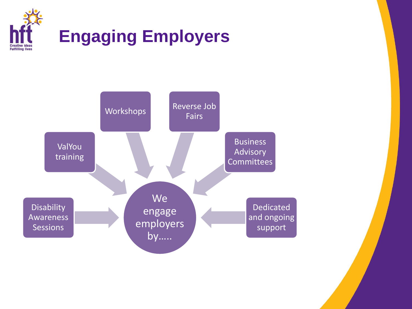

#### **Engaging Employers**

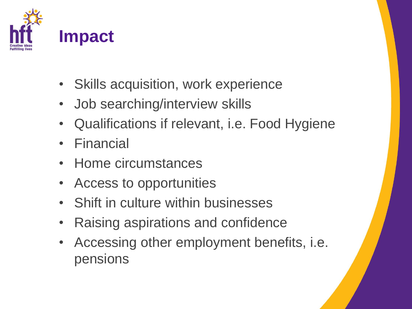

- Skills acquisition, work experience
- Job searching/interview skills
- Qualifications if relevant, i.e. Food Hygiene
- Financial
- Home circumstances
- Access to opportunities
- Shift in culture within businesses
- Raising aspirations and confidence
- Accessing other employment benefits, i.e. pensions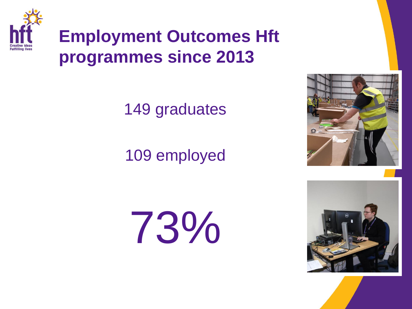

#### **Employment Outcomes Hft programmes since 2013**

149 graduates

109 employed

73%



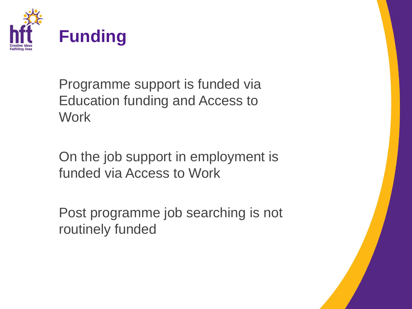

Programme support is funded via Education funding and Access to **Work** 

On the job support in employment is funded via Access to Work

Post programme job searching is not routinely funded